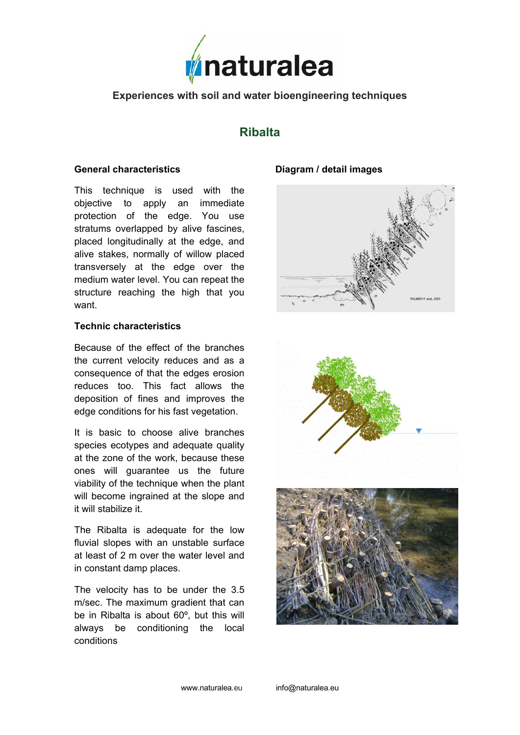

# **Experiences with soil and water bioengineering techniques**

# **Ribalta**

### **General characteristics**

This technique is used with the objective to apply an immediate protection of the edge. You use stratums overlapped by alive fascines, placed longitudinally at the edge, and alive stakes, normally of willow placed transversely at the edge over the medium water level. You can repeat the structure reaching the high that you want.

#### **Technic characteristics**

Because of the effect of the branches the current velocity reduces and as a consequence of that the edges erosion reduces too. This fact allows the deposition of fines and improves the edge conditions for his fast vegetation.

It is basic to choose alive branches species ecotypes and adequate quality at the zone of the work, because these ones will guarantee us the future viability of the technique when the plant will become ingrained at the slope and it will stabilize it.

The Ribalta is adequate for the low fluvial slopes with an unstable surface at least of 2 m over the water level and in constant damp places.

The velocity has to be under the 3.5 m/sec. The maximum gradient that can be in Ribalta is about 60º, but this will always be conditioning the local conditions

## **Diagram / detail images**